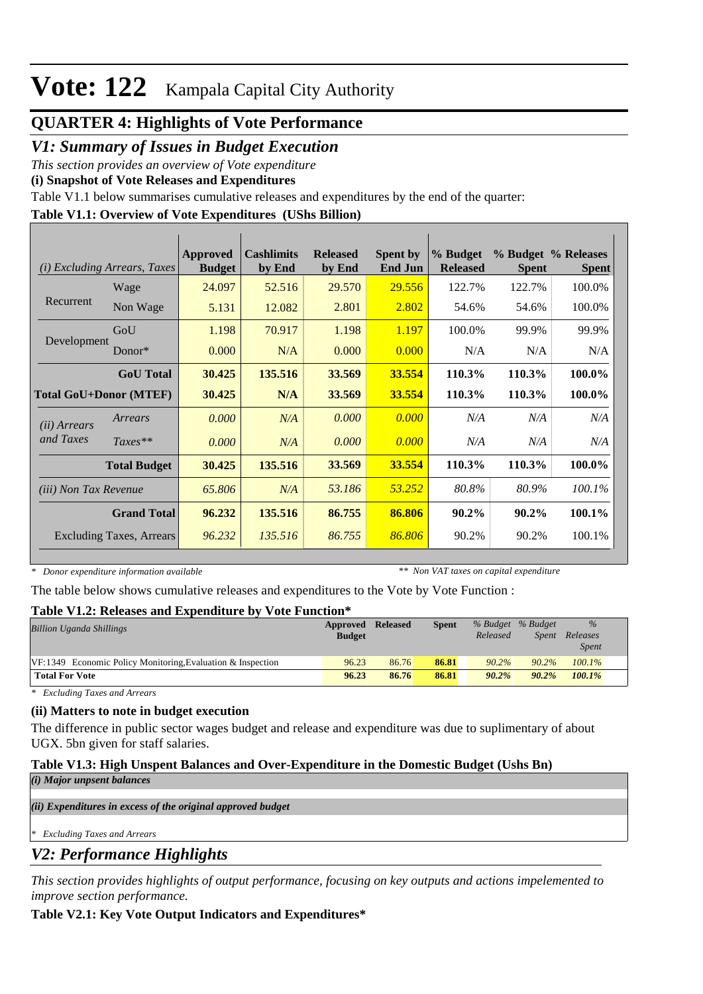## **QUARTER 4: Highlights of Vote Performance**

### *V1: Summary of Issues in Budget Execution*

*This section provides an overview of Vote expenditure* 

**(i) Snapshot of Vote Releases and Expenditures**

Table V1.1 below summarises cumulative releases and expenditures by the end of the quarter:

#### **Table V1.1: Overview of Vote Expenditures (UShs Billion)**

| (i)                           | <b>Excluding Arrears, Taxes</b> | Approved<br><b>Budget</b> | <b>Cashlimits</b><br>by End | <b>Released</b><br>by End | <b>Spent by</b><br><b>End Jun</b> | % Budget<br><b>Released</b> | <b>Spent</b> | % Budget % Releases<br><b>Spent</b> |
|-------------------------------|---------------------------------|---------------------------|-----------------------------|---------------------------|-----------------------------------|-----------------------------|--------------|-------------------------------------|
|                               | Wage                            | 24.097                    | 52.516                      | 29.570                    | 29.556                            | 122.7%                      | 122.7%       | 100.0%                              |
| Recurrent                     | Non Wage                        | 5.131                     | 12.082                      | 2.801                     | 2.802                             | 54.6%                       | 54.6%        | 100.0%                              |
|                               | GoU                             | 1.198                     | 70.917                      | 1.198                     | 1.197                             | 100.0%                      | 99.9%        | 99.9%                               |
| Development                   | Donor $*$                       | 0.000                     | N/A                         | 0.000                     | 0.000                             | N/A                         | N/A          | N/A                                 |
|                               | <b>GoU</b> Total                | 30.425                    | 135.516                     | 33.569                    | 33.554                            | 110.3%                      | 110.3%       | 100.0%                              |
| <b>Total GoU+Donor (MTEF)</b> |                                 | 30.425                    | N/A                         | 33.569                    | 33.554                            | 110.3%                      | 110.3%       | 100.0%                              |
| ( <i>ii</i> ) Arrears         | Arrears                         | 0.000                     | N/A                         | 0.000                     | 0.000                             | N/A                         | N/A          | N/A                                 |
| and Taxes                     | $Taxes**$                       | 0.000                     | N/A                         | 0.000                     | 0.000                             | N/A                         | N/A          | N/A                                 |
|                               | <b>Total Budget</b>             | 30.425                    | 135.516                     | 33.569                    | 33.554                            | 110.3%                      | 110.3%       | 100.0%                              |
| <i>(iii) Non Tax Revenue</i>  |                                 | 65.806                    | N/A                         | 53.186                    | 53.252                            | 80.8%                       | 80.9%        | 100.1%                              |
|                               | <b>Grand Total</b>              | 96.232                    | 135.516                     | 86.755                    | 86.806                            | $90.2\%$                    | $90.2\%$     | 100.1%                              |
|                               | <b>Excluding Taxes, Arrears</b> | 96.232                    | 135.516                     | 86.755                    | 86.806                            | 90.2%                       | 90.2%        | 100.1%                              |

*\* Donor expenditure information available*

*\*\* Non VAT taxes on capital expenditure*

The table below shows cumulative releases and expenditures to the Vote by Vote Function :

#### **Table V1.2: Releases and Expenditure by Vote Function\***

| <b>Billion Uganda Shillings</b>                              | Approved      | <b>Released</b> | <b>Spent</b> |          | % Budget % Budget | $\%$         |  |
|--------------------------------------------------------------|---------------|-----------------|--------------|----------|-------------------|--------------|--|
|                                                              | <b>Budget</b> |                 |              | Released | <i>Spent</i>      | Releases     |  |
|                                                              |               |                 |              |          |                   | <i>Spent</i> |  |
| $VF:1349$ Economic Policy Monitoring Evaluation & Inspection | 96.23         | 86.76           | 86.81        | $90.2\%$ | $90.2\%$          | $100.1\%$    |  |
| <b>Total For Vote</b>                                        | 96.23         | 86.76           | 86.81        | $90.2\%$ | $90.2\%$          | $100.1\%$    |  |

*\* Excluding Taxes and Arrears*

#### **(ii) Matters to note in budget execution**

The difference in public sector wages budget and release and expenditure was due to suplimentary of about UGX. 5bn given for staff salaries.

#### **Table V1.3: High Unspent Balances and Over-Expenditure in the Domestic Budget (Ushs Bn)**

*(i) Major unpsent balances*

*(ii) Expenditures in excess of the original approved budget*

*\* Excluding Taxes and Arrears*

### *V2: Performance Highlights*

*This section provides highlights of output performance, focusing on key outputs and actions impelemented to improve section performance.*

#### **Table V2.1: Key Vote Output Indicators and Expenditures\***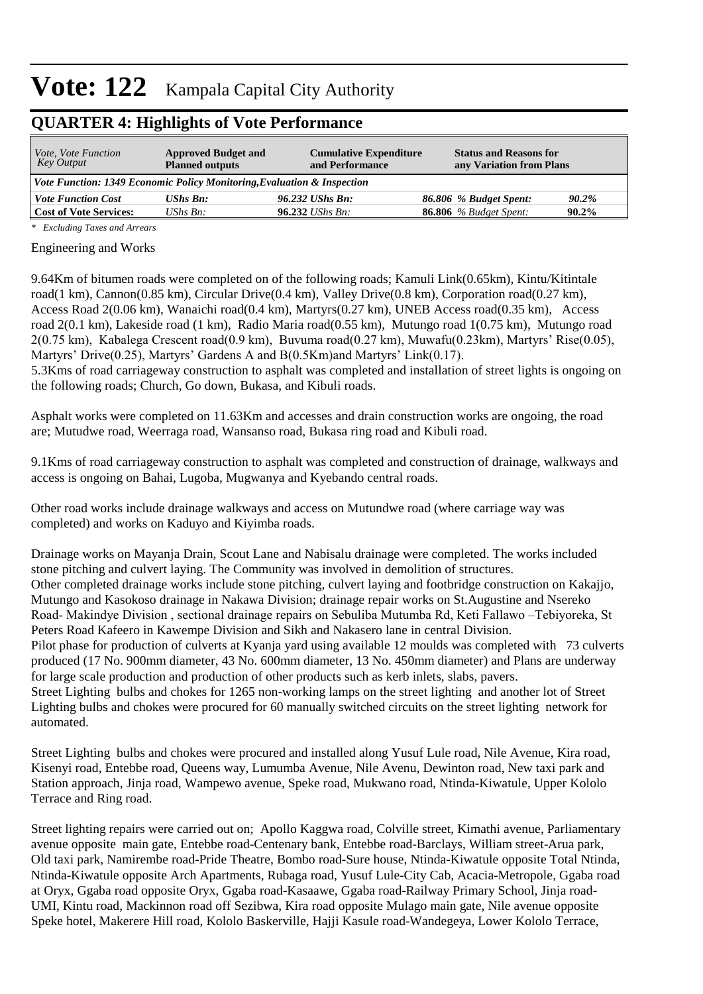### **QUARTER 4: Highlights of Vote Performance**

| <i>Vote, Vote Function</i><br><b>Approved Budget and</b><br>Key Output<br><b>Planned outputs</b> |                                                                         | <b>Cumulative Expenditure</b><br>and Performance | <b>Status and Reasons for</b><br>any Variation from Plans |          |  |  |  |  |
|--------------------------------------------------------------------------------------------------|-------------------------------------------------------------------------|--------------------------------------------------|-----------------------------------------------------------|----------|--|--|--|--|
|                                                                                                  | Vote Function: 1349 Economic Policy Monitoring, Evaluation & Inspection |                                                  |                                                           |          |  |  |  |  |
| <b>Vote Function Cost</b>                                                                        | <b>UShs Bn:</b>                                                         | 96.232 UShs Bn:                                  | 86.806 % Budget Spent:                                    | 90.2%    |  |  |  |  |
| <b>Cost of Vote Services:</b>                                                                    | UShs $Bn$ :                                                             | $96.232$ UShs Bn:                                | <b>86.806</b> % Budget Spent:                             | $90.2\%$ |  |  |  |  |

*\* Excluding Taxes and Arrears*

#### Engineering and Works

9.64Km of bitumen roads were completed on of the following roads; Kamuli Link(0.65km), Kintu/Kitintale road(1 km), Cannon(0.85 km), Circular Drive(0.4 km), Valley Drive(0.8 km), Corporation road(0.27 km), Access Road 2(0.06 km), Wanaichi road(0.4 km), Martyrs(0.27 km), UNEB Access road(0.35 km), Access road 2(0.1 km), Lakeside road (1 km), Radio Maria road(0.55 km), Mutungo road 1(0.75 km), Mutungo road 2(0.75 km), Kabalega Crescent road(0.9 km), Buvuma road(0.27 km), Muwafu(0.23km), Martyrs' Rise(0.05), Martyrs' Drive(0.25), Martyrs' Gardens A and B(0.5Km)and Martyrs' Link(0.17). 5.3Kms of road carriageway construction to asphalt was completed and installation of street lights is ongoing on the following roads; Church, Go down, Bukasa, and Kibuli roads.

Asphalt works were completed on 11.63Km and accesses and drain construction works are ongoing, the road are; Mutudwe road, Weerraga road, Wansanso road, Bukasa ring road and Kibuli road.

9.1Kms of road carriageway construction to asphalt was completed and construction of drainage, walkways and access is ongoing on Bahai, Lugoba, Mugwanya and Kyebando central roads.

Other road works include drainage walkways and access on Mutundwe road (where carriage way was completed) and works on Kaduyo and Kiyimba roads.

Drainage works on Mayanja Drain, Scout Lane and Nabisalu drainage were completed. The works included stone pitching and culvert laying. The Community was involved in demolition of structures. Other completed drainage works include stone pitching, culvert laying and footbridge construction on Kakajjo, Mutungo and Kasokoso drainage in Nakawa Division; drainage repair works on St.Augustine and Nsereko Road- Makindye Division , sectional drainage repairs on Sebuliba Mutumba Rd, Keti Fallawo –Tebiyoreka, St Peters Road Kafeero in Kawempe Division and Sikh and Nakasero lane in central Division. Pilot phase for production of culverts at Kyanja yard using available 12 moulds was completed with 73 culverts produced (17 No. 900mm diameter, 43 No. 600mm diameter, 13 No. 450mm diameter) and Plans are underway for large scale production and production of other products such as kerb inlets, slabs, pavers. Street Lighting bulbs and chokes for 1265 non-working lamps on the street lighting and another lot of Street Lighting bulbs and chokes were procured for 60 manually switched circuits on the street lighting network for automated.

Street Lighting bulbs and chokes were procured and installed along Yusuf Lule road, Nile Avenue, Kira road, Kisenyi road, Entebbe road, Queens way, Lumumba Avenue, Nile Avenu, Dewinton road, New taxi park and Station approach, Jinja road, Wampewo avenue, Speke road, Mukwano road, Ntinda-Kiwatule, Upper Kololo Terrace and Ring road.

Street lighting repairs were carried out on; Apollo Kaggwa road, Colville street, Kimathi avenue, Parliamentary avenue opposite main gate, Entebbe road-Centenary bank, Entebbe road-Barclays, William street-Arua park, Old taxi park, Namirembe road-Pride Theatre, Bombo road-Sure house, Ntinda-Kiwatule opposite Total Ntinda, Ntinda-Kiwatule opposite Arch Apartments, Rubaga road, Yusuf Lule-City Cab, Acacia-Metropole, Ggaba road at Oryx, Ggaba road opposite Oryx, Ggaba road-Kasaawe, Ggaba road-Railway Primary School, Jinja road-UMI, Kintu road, Mackinnon road off Sezibwa, Kira road opposite Mulago main gate, Nile avenue opposite Speke hotel, Makerere Hill road, Kololo Baskerville, Hajji Kasule road-Wandegeya, Lower Kololo Terrace,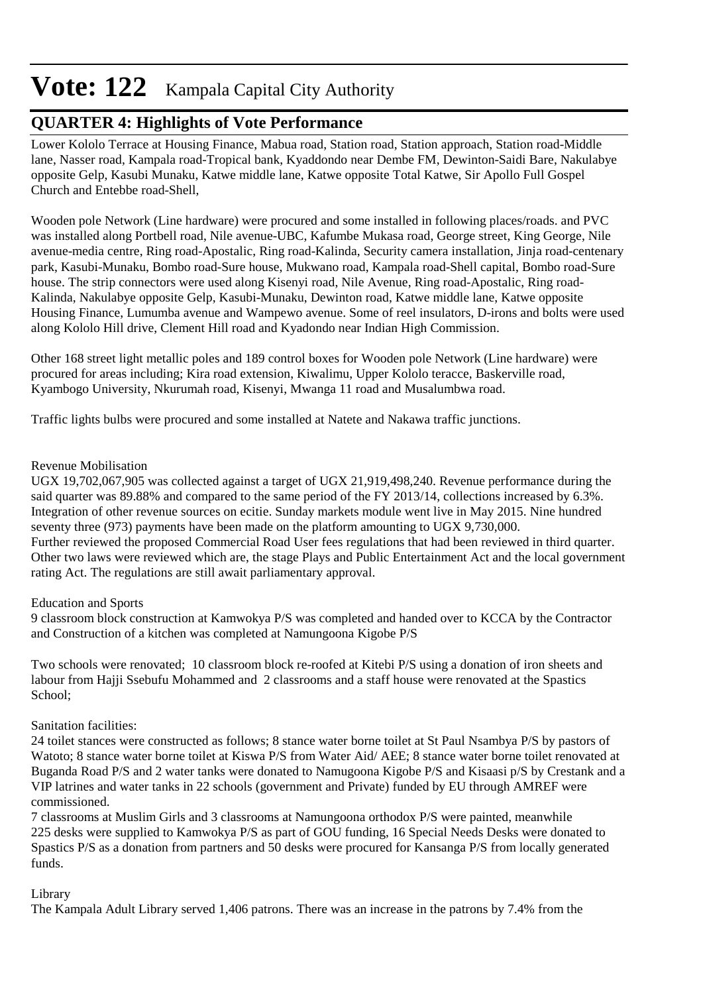## **QUARTER 4: Highlights of Vote Performance**

Lower Kololo Terrace at Housing Finance, Mabua road, Station road, Station approach, Station road-Middle lane, Nasser road, Kampala road-Tropical bank, Kyaddondo near Dembe FM, Dewinton-Saidi Bare, Nakulabye opposite Gelp, Kasubi Munaku, Katwe middle lane, Katwe opposite Total Katwe, Sir Apollo Full Gospel Church and Entebbe road-Shell,

Wooden pole Network (Line hardware) were procured and some installed in following places/roads. and PVC was installed along Portbell road, Nile avenue-UBC, Kafumbe Mukasa road, George street, King George, Nile avenue-media centre, Ring road-Apostalic, Ring road-Kalinda, Security camera installation, Jinja road-centenary park, Kasubi-Munaku, Bombo road-Sure house, Mukwano road, Kampala road-Shell capital, Bombo road-Sure house. The strip connectors were used along Kisenyi road, Nile Avenue, Ring road-Apostalic, Ring road-Kalinda, Nakulabye opposite Gelp, Kasubi-Munaku, Dewinton road, Katwe middle lane, Katwe opposite Housing Finance, Lumumba avenue and Wampewo avenue. Some of reel insulators, D-irons and bolts were used along Kololo Hill drive, Clement Hill road and Kyadondo near Indian High Commission.

Other 168 street light metallic poles and 189 control boxes for Wooden pole Network (Line hardware) were procured for areas including; Kira road extension, Kiwalimu, Upper Kololo teracce, Baskerville road, Kyambogo University, Nkurumah road, Kisenyi, Mwanga 11 road and Musalumbwa road.

Traffic lights bulbs were procured and some installed at Natete and Nakawa traffic junctions.

#### Revenue Mobilisation

UGX 19,702,067,905 was collected against a target of UGX 21,919,498,240. Revenue performance during the said quarter was 89.88% and compared to the same period of the FY 2013/14, collections increased by 6.3%. Integration of other revenue sources on ecitie. Sunday markets module went live in May 2015. Nine hundred seventy three (973) payments have been made on the platform amounting to UGX 9,730,000. Further reviewed the proposed Commercial Road User fees regulations that had been reviewed in third quarter. Other two laws were reviewed which are, the stage Plays and Public Entertainment Act and the local government rating Act. The regulations are still await parliamentary approval.

#### Education and Sports

9 classroom block construction at Kamwokya P/S was completed and handed over to KCCA by the Contractor and Construction of a kitchen was completed at Namungoona Kigobe P/S

Two schools were renovated; 10 classroom block re-roofed at Kitebi P/S using a donation of iron sheets and labour from Hajji Ssebufu Mohammed and 2 classrooms and a staff house were renovated at the Spastics School;

#### Sanitation facilities:

24 toilet stances were constructed as follows; 8 stance water borne toilet at St Paul Nsambya P/S by pastors of Watoto; 8 stance water borne toilet at Kiswa P/S from Water Aid/ AEE; 8 stance water borne toilet renovated at Buganda Road P/S and 2 water tanks were donated to Namugoona Kigobe P/S and Kisaasi p/S by Crestank and a VIP latrines and water tanks in 22 schools (government and Private) funded by EU through AMREF were commissioned.

7 classrooms at Muslim Girls and 3 classrooms at Namungoona orthodox P/S were painted, meanwhile 225 desks were supplied to Kamwokya P/S as part of GOU funding, 16 Special Needs Desks were donated to Spastics P/S as a donation from partners and 50 desks were procured for Kansanga P/S from locally generated funds.

#### Library

The Kampala Adult Library served 1,406 patrons. There was an increase in the patrons by 7.4% from the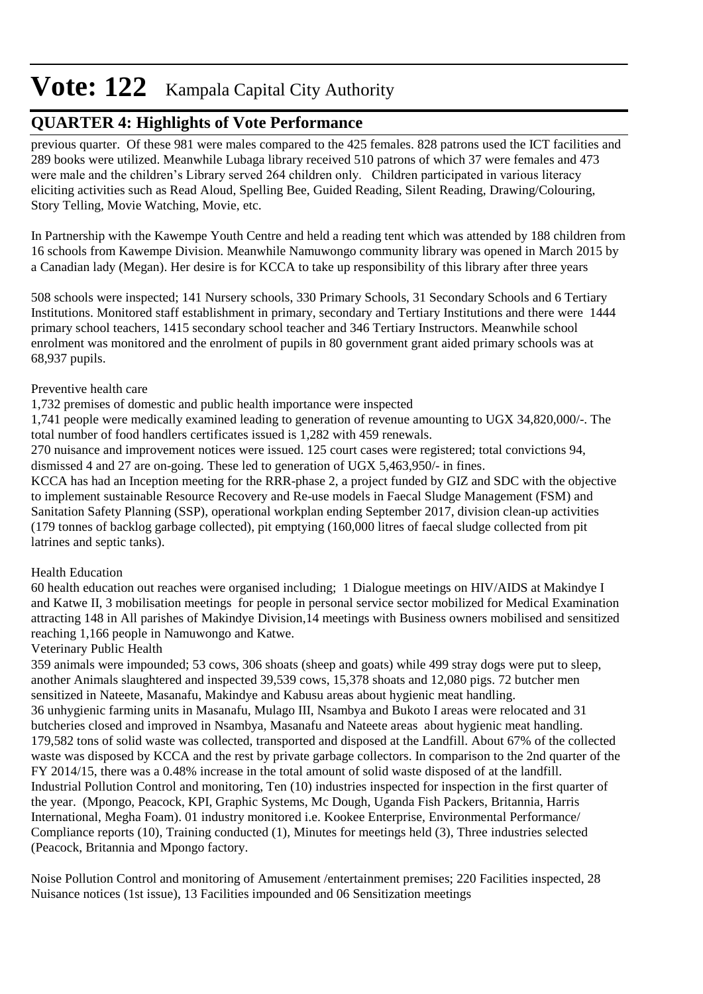## **QUARTER 4: Highlights of Vote Performance**

previous quarter. Of these 981 were males compared to the 425 females. 828 patrons used the ICT facilities and 289 books were utilized. Meanwhile Lubaga library received 510 patrons of which 37 were females and 473 were male and the children's Library served 264 children only. Children participated in various literacy eliciting activities such as Read Aloud, Spelling Bee, Guided Reading, Silent Reading, Drawing/Colouring, Story Telling, Movie Watching, Movie, etc.

In Partnership with the Kawempe Youth Centre and held a reading tent which was attended by 188 children from 16 schools from Kawempe Division. Meanwhile Namuwongo community library was opened in March 2015 by a Canadian lady (Megan). Her desire is for KCCA to take up responsibility of this library after three years

508 schools were inspected; 141 Nursery schools, 330 Primary Schools, 31 Secondary Schools and 6 Tertiary Institutions. Monitored staff establishment in primary, secondary and Tertiary Institutions and there were 1444 primary school teachers, 1415 secondary school teacher and 346 Tertiary Instructors. Meanwhile school enrolment was monitored and the enrolment of pupils in 80 government grant aided primary schools was at 68,937 pupils.

#### Preventive health care

1,732 premises of domestic and public health importance were inspected

1,741 people were medically examined leading to generation of revenue amounting to UGX 34,820,000/-. The total number of food handlers certificates issued is 1,282 with 459 renewals.

270 nuisance and improvement notices were issued. 125 court cases were registered; total convictions 94, dismissed 4 and 27 are on-going. These led to generation of UGX 5,463,950/- in fines.

KCCA has had an Inception meeting for the RRR-phase 2, a project funded by GIZ and SDC with the objective to implement sustainable Resource Recovery and Re-use models in Faecal Sludge Management (FSM) and Sanitation Safety Planning (SSP), operational workplan ending September 2017, division clean-up activities (179 tonnes of backlog garbage collected), pit emptying (160,000 litres of faecal sludge collected from pit latrines and septic tanks).

#### Health Education

60 health education out reaches were organised including; 1 Dialogue meetings on HIV/AIDS at Makindye I and Katwe II, 3 mobilisation meetings for people in personal service sector mobilized for Medical Examination attracting 148 in All parishes of Makindye Division,14 meetings with Business owners mobilised and sensitized reaching 1,166 people in Namuwongo and Katwe.

#### Veterinary Public Health

359 animals were impounded; 53 cows, 306 shoats (sheep and goats) while 499 stray dogs were put to sleep, another Animals slaughtered and inspected 39,539 cows, 15,378 shoats and 12,080 pigs. 72 butcher men sensitized in Nateete, Masanafu, Makindye and Kabusu areas about hygienic meat handling. 36 unhygienic farming units in Masanafu, Mulago III, Nsambya and Bukoto I areas were relocated and 31 butcheries closed and improved in Nsambya, Masanafu and Nateete areas about hygienic meat handling. 179,582 tons of solid waste was collected, transported and disposed at the Landfill. About 67% of the collected waste was disposed by KCCA and the rest by private garbage collectors. In comparison to the 2nd quarter of the FY 2014/15, there was a 0.48% increase in the total amount of solid waste disposed of at the landfill. Industrial Pollution Control and monitoring, Ten (10) industries inspected for inspection in the first quarter of the year. (Mpongo, Peacock, KPI, Graphic Systems, Mc Dough, Uganda Fish Packers, Britannia, Harris International, Megha Foam). 01 industry monitored i.e. Kookee Enterprise, Environmental Performance/ Compliance reports (10), Training conducted (1), Minutes for meetings held (3), Three industries selected (Peacock, Britannia and Mpongo factory.

Noise Pollution Control and monitoring of Amusement /entertainment premises; 220 Facilities inspected, 28 Nuisance notices (1st issue), 13 Facilities impounded and 06 Sensitization meetings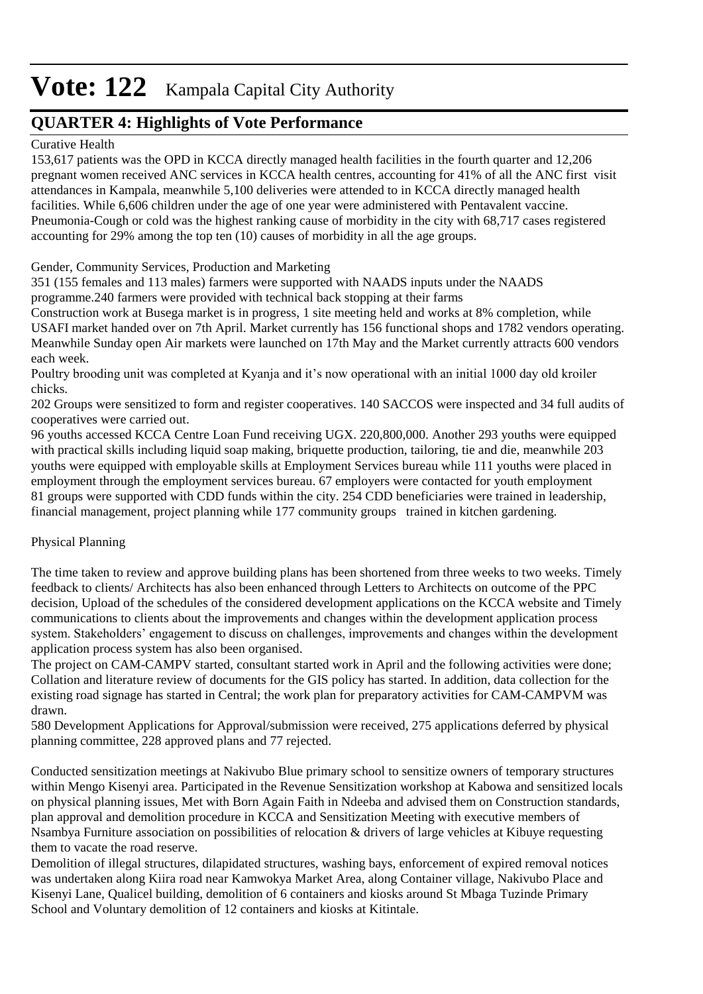## **QUARTER 4: Highlights of Vote Performance**

#### Curative Health

153,617 patients was the OPD in KCCA directly managed health facilities in the fourth quarter and 12,206 pregnant women received ANC services in KCCA health centres, accounting for 41% of all the ANC first visit attendances in Kampala, meanwhile 5,100 deliveries were attended to in KCCA directly managed health facilities. While 6,606 children under the age of one year were administered with Pentavalent vaccine. Pneumonia-Cough or cold was the highest ranking cause of morbidity in the city with 68,717 cases registered accounting for 29% among the top ten (10) causes of morbidity in all the age groups.

#### Gender, Community Services, Production and Marketing

351 (155 females and 113 males) farmers were supported with NAADS inputs under the NAADS programme.240 farmers were provided with technical back stopping at their farms

Construction work at Busega market is in progress, 1 site meeting held and works at 8% completion, while USAFI market handed over on 7th April. Market currently has 156 functional shops and 1782 vendors operating. Meanwhile Sunday open Air markets were launched on 17th May and the Market currently attracts 600 vendors each week.

Poultry brooding unit was completed at Kyanja and it's now operational with an initial 1000 day old kroiler chicks.

202 Groups were sensitized to form and register cooperatives. 140 SACCOS were inspected and 34 full audits of cooperatives were carried out.

96 youths accessed KCCA Centre Loan Fund receiving UGX. 220,800,000. Another 293 youths were equipped with practical skills including liquid soap making, briquette production, tailoring, tie and die, meanwhile 203 youths were equipped with employable skills at Employment Services bureau while 111 youths were placed in employment through the employment services bureau. 67 employers were contacted for youth employment 81 groups were supported with CDD funds within the city. 254 CDD beneficiaries were trained in leadership, financial management, project planning while 177 community groups trained in kitchen gardening.

#### Physical Planning

The time taken to review and approve building plans has been shortened from three weeks to two weeks. Timely feedback to clients/ Architects has also been enhanced through Letters to Architects on outcome of the PPC decision, Upload of the schedules of the considered development applications on the KCCA website and Timely communications to clients about the improvements and changes within the development application process system. Stakeholders' engagement to discuss on challenges, improvements and changes within the development application process system has also been organised.

The project on CAM-CAMPV started, consultant started work in April and the following activities were done; Collation and literature review of documents for the GIS policy has started. In addition, data collection for the existing road signage has started in Central; the work plan for preparatory activities for CAM-CAMPVM was drawn.

580 Development Applications for Approval/submission were received, 275 applications deferred by physical planning committee, 228 approved plans and 77 rejected.

Conducted sensitization meetings at Nakivubo Blue primary school to sensitize owners of temporary structures within Mengo Kisenyi area. Participated in the Revenue Sensitization workshop at Kabowa and sensitized locals on physical planning issues, Met with Born Again Faith in Ndeeba and advised them on Construction standards, plan approval and demolition procedure in KCCA and Sensitization Meeting with executive members of Nsambya Furniture association on possibilities of relocation & drivers of large vehicles at Kibuye requesting them to vacate the road reserve.

Demolition of illegal structures, dilapidated structures, washing bays, enforcement of expired removal notices was undertaken along Kiira road near Kamwokya Market Area, along Container village, Nakivubo Place and Kisenyi Lane, Qualicel building, demolition of 6 containers and kiosks around St Mbaga Tuzinde Primary School and Voluntary demolition of 12 containers and kiosks at Kitintale.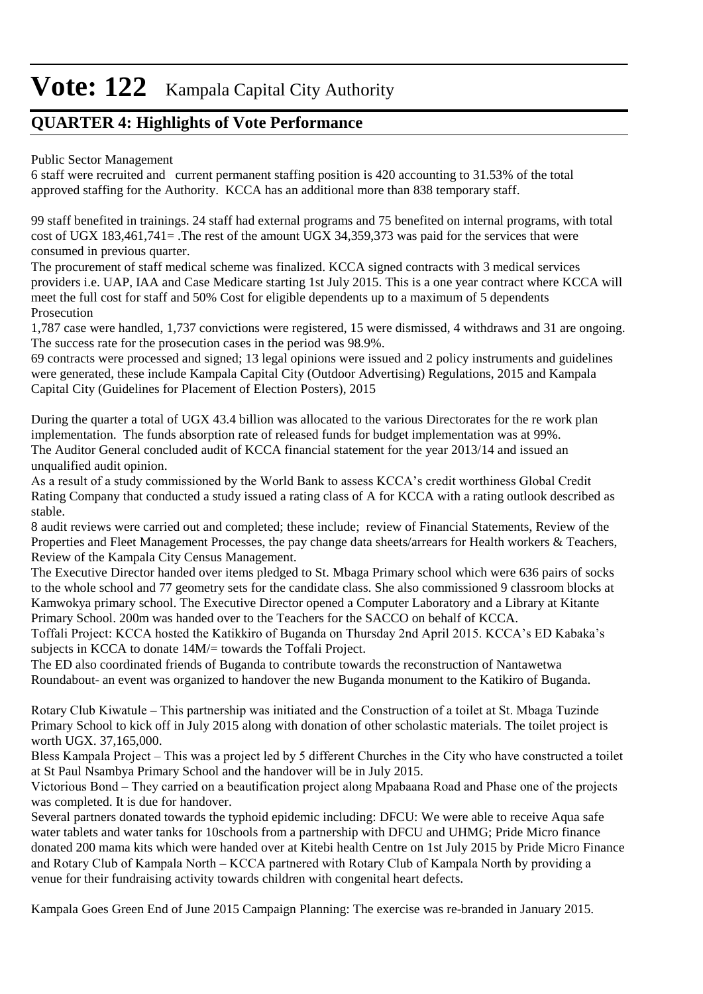## **QUARTER 4: Highlights of Vote Performance**

#### Public Sector Management

6 staff were recruited and current permanent staffing position is 420 accounting to 31.53% of the total approved staffing for the Authority. KCCA has an additional more than 838 temporary staff.

99 staff benefited in trainings. 24 staff had external programs and 75 benefited on internal programs, with total cost of UGX 183,461,741= .The rest of the amount UGX 34,359,373 was paid for the services that were consumed in previous quarter.

The procurement of staff medical scheme was finalized. KCCA signed contracts with 3 medical services providers i.e. UAP, IAA and Case Medicare starting 1st July 2015. This is a one year contract where KCCA will meet the full cost for staff and 50% Cost for eligible dependents up to a maximum of 5 dependents Prosecution

1,787 case were handled, 1,737 convictions were registered, 15 were dismissed, 4 withdraws and 31 are ongoing. The success rate for the prosecution cases in the period was 98.9%.

69 contracts were processed and signed; 13 legal opinions were issued and 2 policy instruments and guidelines were generated, these include Kampala Capital City (Outdoor Advertising) Regulations, 2015 and Kampala Capital City (Guidelines for Placement of Election Posters), 2015

During the quarter a total of UGX 43.4 billion was allocated to the various Directorates for the re work plan implementation. The funds absorption rate of released funds for budget implementation was at 99%. The Auditor General concluded audit of KCCA financial statement for the year 2013/14 and issued an unqualified audit opinion.

As a result of a study commissioned by the World Bank to assess KCCA's credit worthiness Global Credit Rating Company that conducted a study issued a rating class of A for KCCA with a rating outlook described as stable.

8 audit reviews were carried out and completed; these include; review of Financial Statements, Review of the Properties and Fleet Management Processes, the pay change data sheets/arrears for Health workers & Teachers, Review of the Kampala City Census Management.

The Executive Director handed over items pledged to St. Mbaga Primary school which were 636 pairs of socks to the whole school and 77 geometry sets for the candidate class. She also commissioned 9 classroom blocks at Kamwokya primary school. The Executive Director opened a Computer Laboratory and a Library at Kitante Primary School. 200m was handed over to the Teachers for the SACCO on behalf of KCCA.

Toffali Project: KCCA hosted the Katikkiro of Buganda on Thursday 2nd April 2015. KCCA's ED Kabaka's subjects in KCCA to donate 14M/= towards the Toffali Project.

The ED also coordinated friends of Buganda to contribute towards the reconstruction of Nantawetwa Roundabout- an event was organized to handover the new Buganda monument to the Katikiro of Buganda.

Rotary Club Kiwatule – This partnership was initiated and the Construction of a toilet at St. Mbaga Tuzinde Primary School to kick off in July 2015 along with donation of other scholastic materials. The toilet project is worth UGX. 37,165,000.

Bless Kampala Project – This was a project led by 5 different Churches in the City who have constructed a toilet at St Paul Nsambya Primary School and the handover will be in July 2015.

Victorious Bond – They carried on a beautification project along Mpabaana Road and Phase one of the projects was completed. It is due for handover.

Several partners donated towards the typhoid epidemic including: DFCU: We were able to receive Aqua safe water tablets and water tanks for 10schools from a partnership with DFCU and UHMG; Pride Micro finance donated 200 mama kits which were handed over at Kitebi health Centre on 1st July 2015 by Pride Micro Finance and Rotary Club of Kampala North – KCCA partnered with Rotary Club of Kampala North by providing a venue for their fundraising activity towards children with congenital heart defects.

Kampala Goes Green End of June 2015 Campaign Planning: The exercise was re-branded in January 2015.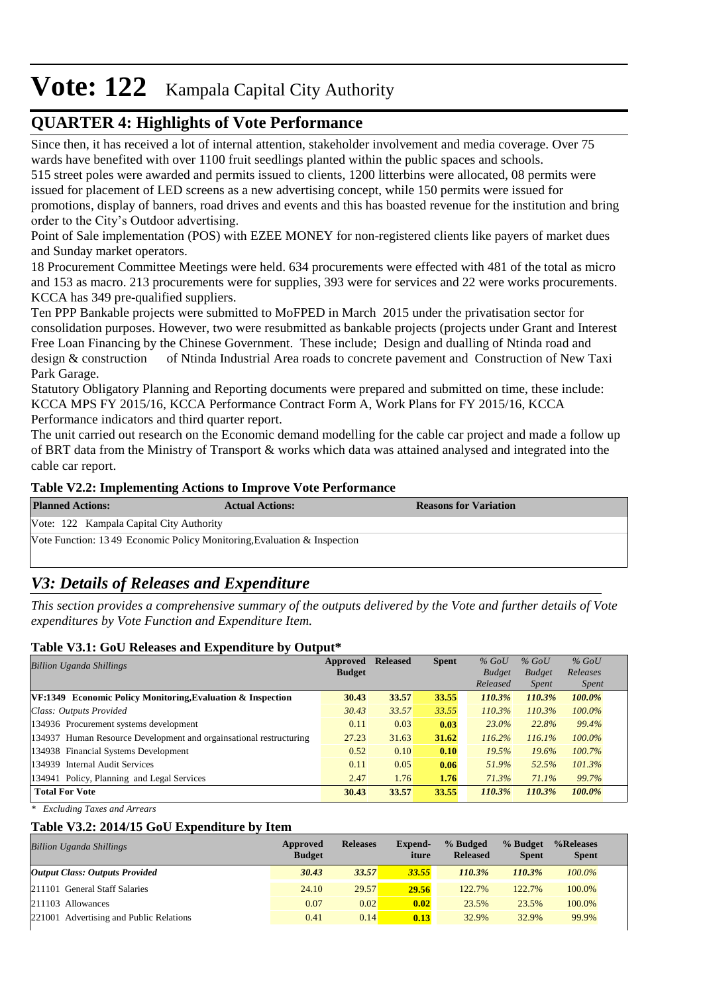## **QUARTER 4: Highlights of Vote Performance**

Since then, it has received a lot of internal attention, stakeholder involvement and media coverage. Over 75 wards have benefited with over 1100 fruit seedlings planted within the public spaces and schools.

515 street poles were awarded and permits issued to clients, 1200 litterbins were allocated, 08 permits were issued for placement of LED screens as a new advertising concept, while 150 permits were issued for promotions, display of banners, road drives and events and this has boasted revenue for the institution and bring order to the City's Outdoor advertising.

Point of Sale implementation (POS) with EZEE MONEY for non-registered clients like payers of market dues and Sunday market operators.

18 Procurement Committee Meetings were held. 634 procurements were effected with 481 of the total as micro and 153 as macro. 213 procurements were for supplies, 393 were for services and 22 were works procurements. KCCA has 349 pre-qualified suppliers.

Ten PPP Bankable projects were submitted to MoFPED in March 2015 under the privatisation sector for consolidation purposes. However, two were resubmitted as bankable projects (projects under Grant and Interest Free Loan Financing by the Chinese Government. These include; Design and dualling of Ntinda road and design & construction of Ntinda Industrial Area roads to concrete pavement and Construction of New Taxi Park Garage.

Statutory Obligatory Planning and Reporting documents were prepared and submitted on time, these include: KCCA MPS FY 2015/16, KCCA Performance Contract Form A, Work Plans for FY 2015/16, KCCA Performance indicators and third quarter report.

The unit carried out research on the Economic demand modelling for the cable car project and made a follow up of BRT data from the Ministry of Transport & works which data was attained analysed and integrated into the cable car report.

#### **Table V2.2: Implementing Actions to Improve Vote Performance**

| <b>Planned Actions:</b>                                                 | <b>Actual Actions:</b> | <b>Reasons for Variation</b> |
|-------------------------------------------------------------------------|------------------------|------------------------------|
| Vote: 122 Kampala Capital City Authority                                |                        |                              |
| Vote Function: 13.49 Economic Policy Monitoring Evaluation & Inspection |                        |                              |

## *V3: Details of Releases and Expenditure*

*This section provides a comprehensive summary of the outputs delivered by the Vote and further details of Vote expenditures by Vote Function and Expenditure Item.*

#### **Table V3.1: GoU Releases and Expenditure by Output\***

| <b>Billion Uganda Shillings</b>                                    | Approved<br><b>Budget</b> | <b>Released</b> | <b>Spent</b> | $%$ GoU<br><b>Budget</b> | $%$ GoU<br><b>Budget</b> | $%$ GoU<br>Releases |
|--------------------------------------------------------------------|---------------------------|-----------------|--------------|--------------------------|--------------------------|---------------------|
|                                                                    |                           |                 |              | Released                 | <i>Spent</i>             | <i>Spent</i>        |
| <b>VF:1349</b> Economic Policy Monitoring, Evaluation & Inspection | 30.43                     | 33.57           | 33.55        | 110.3%                   | 110.3%                   | 100.0%              |
| Class: Outputs Provided                                            | 30.43                     | 33.57           | 33.55        | 110.3%                   | 110.3%                   | $100.0\%$           |
| 134936 Procurement systems development                             | 0.11                      | 0.03            | 0.03         | $23.0\%$                 | 22.8%                    | 99.4%               |
| 134937 Human Resource Development and orgainsational restructuring | 27.23                     | 31.63           | 31.62        | 116.2%                   | 116.1%                   | $100.0\%$           |
| 134938 Financial Systems Development                               | 0.52                      | 0.10            | 0.10         | 19.5%                    | 19.6%                    | 100.7%              |
| 134939 Internal Audit Services                                     | 0.11                      | 0.05            | 0.06         | 51.9%                    | 52.5%                    | 101.3%              |
| 134941 Policy, Planning and Legal Services                         | 2.47                      | 1.76            | 1.76         | 71.3%                    | 71.1%                    | 99.7%               |
| <b>Total For Vote</b>                                              | 30.43                     | 33.57           | 33.55        | 110.3%                   | 110.3%                   | 100.0%              |

*\* Excluding Taxes and Arrears*

#### **Table V3.2: 2014/15 GoU Expenditure by Item**

| <b>Billion Uganda Shillings</b>         | Approved<br><b>Budget</b> | <b>Releases</b> | <b>Expend-</b><br>iture | % Budged<br><b>Released</b> | % Budget<br><b>Spent</b> | %Releases<br><b>Spent</b> |
|-----------------------------------------|---------------------------|-----------------|-------------------------|-----------------------------|--------------------------|---------------------------|
| <b>Output Class: Outputs Provided</b>   | 30.43                     | 33.57           | 33.55                   | 110.3%                      | 110.3%                   | $100.0\%$                 |
| 211101 General Staff Salaries           | 24.10                     | 29.57           | 29.56                   | 122.7%                      | 122.7%                   | 100.0%                    |
| 211103 Allowances                       | 0.07                      | 0.02            | 0.02                    | 23.5%                       | 23.5%                    | 100.0%                    |
| 221001 Advertising and Public Relations | 0.41                      | 0.14            | 0.13                    | 32.9%                       | 32.9%                    | 99.9%                     |